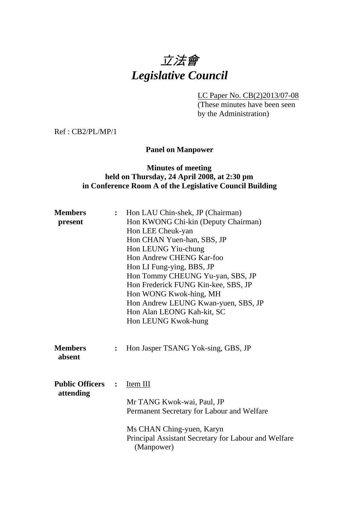# 立法會 *Legislative Council*

LC Paper No. CB(2)2013/07-08

(These minutes have been seen by the Administration)

Ref : CB2/PL/MP/1

# **Panel on Manpower**

### **Minutes of meeting held on Thursday, 24 April 2008, at 2:30 pm in Conference Room A of the Legislative Council Building**

| <b>Members</b><br>present           | $\ddot{\cdot}$ | Hon LAU Chin-shek, JP (Chairman)<br>Hon KWONG Chi-kin (Deputy Chairman)<br>Hon LEE Cheuk-yan<br>Hon CHAN Yuen-han, SBS, JP<br>Hon LEUNG Yiu-chung<br>Hon Andrew CHENG Kar-foo<br>Hon LI Fung-ying, BBS, JP<br>Hon Tommy CHEUNG Yu-yan, SBS, JP<br>Hon Frederick FUNG Kin-kee, SBS, JP<br>Hon WONG Kwok-hing, MH<br>Hon Andrew LEUNG Kwan-yuen, SBS, JP<br>Hon Alan LEONG Kah-kit, SC<br>Hon LEUNG Kwok-hung |
|-------------------------------------|----------------|-------------------------------------------------------------------------------------------------------------------------------------------------------------------------------------------------------------------------------------------------------------------------------------------------------------------------------------------------------------------------------------------------------------|
| <b>Members</b><br>absent            | $\ddot{\cdot}$ | Hon Jasper TSANG Yok-sing, GBS, JP                                                                                                                                                                                                                                                                                                                                                                          |
| <b>Public Officers</b><br>attending | $\ddot{\cdot}$ | Item III<br>Mr TANG Kwok-wai, Paul, JP<br>Permanent Secretary for Labour and Welfare<br>Ms CHAN Ching-yuen, Karyn<br>Principal Assistant Secretary for Labour and Welfare<br>(Manpower)                                                                                                                                                                                                                     |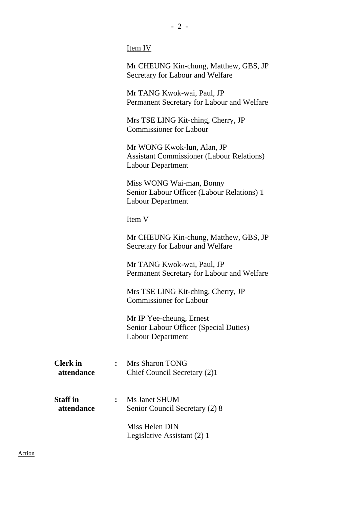Item IV

|                               |                | Mr CHEUNG Kin-chung, Matthew, GBS, JP<br>Secretary for Labour and Welfare                                  |
|-------------------------------|----------------|------------------------------------------------------------------------------------------------------------|
|                               |                | Mr TANG Kwok-wai, Paul, JP<br>Permanent Secretary for Labour and Welfare                                   |
|                               |                | Mrs TSE LING Kit-ching, Cherry, JP<br><b>Commissioner for Labour</b>                                       |
|                               |                | Mr WONG Kwok-lun, Alan, JP<br><b>Assistant Commissioner (Labour Relations)</b><br><b>Labour Department</b> |
|                               |                | Miss WONG Wai-man, Bonny<br>Senior Labour Officer (Labour Relations) 1<br><b>Labour Department</b>         |
|                               |                | Item V                                                                                                     |
|                               |                | Mr CHEUNG Kin-chung, Matthew, GBS, JP<br>Secretary for Labour and Welfare                                  |
|                               |                | Mr TANG Kwok-wai, Paul, JP<br>Permanent Secretary for Labour and Welfare                                   |
|                               |                | Mrs TSE LING Kit-ching, Cherry, JP<br><b>Commissioner for Labour</b>                                       |
|                               |                | Mr IP Yee-cheung, Ernest<br>Senior Labour Officer (Special Duties)<br><b>Labour Department</b>             |
| <b>Clerk</b> in<br>attendance | $\ddot{\cdot}$ | <b>Mrs Sharon TONG</b><br>Chief Council Secretary (2)1                                                     |
| <b>Staff</b> in<br>attendance | $\ddot{\cdot}$ | Ms Janet SHUM<br>Senior Council Secretary (2) 8                                                            |
|                               |                | Miss Helen DIN<br>Legislative Assistant (2) 1                                                              |
|                               |                |                                                                                                            |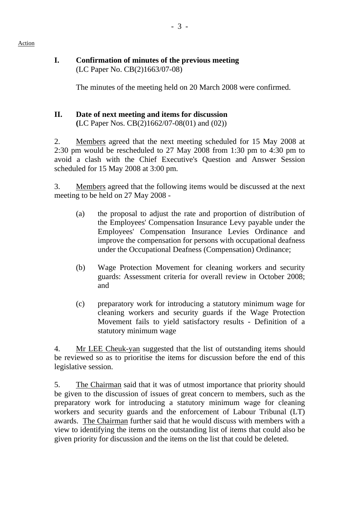# **I. Confirmation of minutes of the previous meeting**  (LC Paper No. CB(2)1663/07-08)

The minutes of the meeting held on 20 March 2008 were confirmed.

#### **II. Date of next meeting and items for discussion (**LC Paper Nos. CB(2)1662/07-08(01) and (02))

2. Members agreed that the next meeting scheduled for 15 May 2008 at 2:30 pm would be rescheduled to 27 May 2008 from 1:30 pm to 4:30 pm to avoid a clash with the Chief Executive's Question and Answer Session scheduled for 15 May 2008 at 3:00 pm.

3. Members agreed that the following items would be discussed at the next meeting to be held on 27 May 2008 -

- (a) the proposal to adjust the rate and proportion of distribution of the Employees' Compensation Insurance Levy payable under the Employees' Compensation Insurance Levies Ordinance and improve the compensation for persons with occupational deafness under the Occupational Deafness (Compensation) Ordinance;
- (b) Wage Protection Movement for cleaning workers and security guards: Assessment criteria for overall review in October 2008; and
- (c) preparatory work for introducing a statutory minimum wage for cleaning workers and security guards if the Wage Protection Movement fails to yield satisfactory results - Definition of a statutory minimum wage

4. Mr LEE Cheuk-yan suggested that the list of outstanding items should be reviewed so as to prioritise the items for discussion before the end of this legislative session.

5. The Chairman said that it was of utmost importance that priority should be given to the discussion of issues of great concern to members, such as the preparatory work for introducing a statutory minimum wage for cleaning workers and security guards and the enforcement of Labour Tribunal (LT) awards. The Chairman further said that he would discuss with members with a view to identifying the items on the outstanding list of items that could also be given priority for discussion and the items on the list that could be deleted.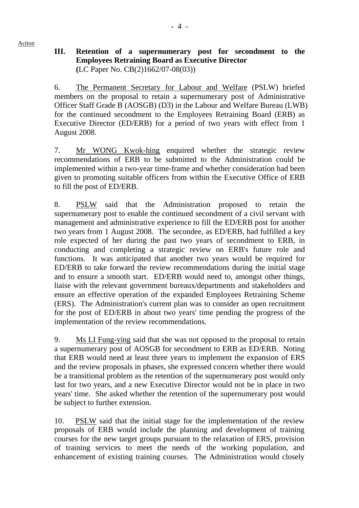# **III. Retention of a supernumerary post for secondment to the Employees Retraining Board as Executive Director (**LC Paper No. CB(2)1662/07-08(03))

6. The Permanent Secretary for Labour and Welfare (PSLW) briefed members on the proposal to retain a supernumerary post of Administrative Officer Staff Grade B (AOSGB) (D3) in the Labour and Welfare Bureau (LWB) for the continued secondment to the Employees Retraining Board (ERB) as Executive Director (ED/ERB) for a period of two years with effect from 1 August 2008.

7. Mr WONG Kwok-hing enquired whether the strategic review recommendations of ERB to be submitted to the Administration could be implemented within a two-year time-frame and whether consideration had been given to promoting suitable officers from within the Executive Office of ERB to fill the post of ED/ERB.

8. PSLW said that the Administration proposed to retain the supernumerary post to enable the continued secondment of a civil servant with management and administrative experience to fill the ED/ERB post for another two years from 1 August 2008. The secondee, as ED/ERB, had fulfilled a key role expected of her during the past two years of secondment to ERB, in conducting and completing a strategic review on ERB's future role and functions. It was anticipated that another two years would be required for ED/ERB to take forward the review recommendations during the initial stage and to ensure a smooth start. ED/ERB would need to, amongst other things, liaise with the relevant government bureaux/departments and stakeholders and ensure an effective operation of the expanded Employees Retraining Scheme (ERS). The Administration's current plan was to consider an open recruitment for the post of ED/ERB in about two years' time pending the progress of the implementation of the review recommendations.

9. Ms LI Fung-ying said that she was not opposed to the proposal to retain a supernumerary post of AOSGB for secondment to ERB as ED/ERB. Noting that ERB would need at least three years to implement the expansion of ERS and the review proposals in phases, she expressed concern whether there would be a transitional problem as the retention of the supernumerary post would only last for two years, and a new Executive Director would not be in place in two years' time. She asked whether the retention of the supernumerary post would be subject to further extension.

10. PSLW said that the initial stage for the implementation of the review proposals of ERB would include the planning and development of training courses for the new target groups pursuant to the relaxation of ERS, provision of training services to meet the needs of the working population, and enhancement of existing training courses. The Administration would closely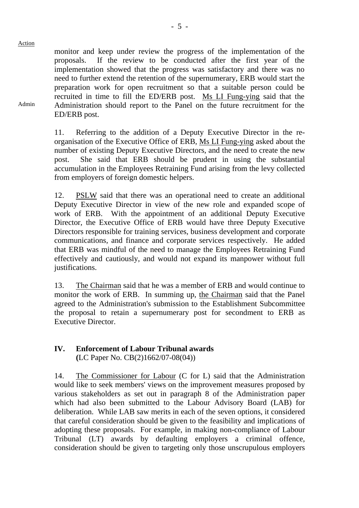Admin

monitor and keep under review the progress of the implementation of the proposals. If the review to be conducted after the first year of the implementation showed that the progress was satisfactory and there was no need to further extend the retention of the supernumerary, ERB would start the preparation work for open recruitment so that a suitable person could be recruited in time to fill the ED/ERB post. Ms LI Fung-ying said that the Administration should report to the Panel on the future recruitment for the ED/ERB post.

11. Referring to the addition of a Deputy Executive Director in the reorganisation of the Executive Office of ERB, Ms LI Fung-ying asked about the number of existing Deputy Executive Directors, and the need to create the new post. She said that ERB should be prudent in using the substantial accumulation in the Employees Retraining Fund arising from the levy collected from employers of foreign domestic helpers.

12. PSLW said that there was an operational need to create an additional Deputy Executive Director in view of the new role and expanded scope of work of ERB. With the appointment of an additional Deputy Executive Director, the Executive Office of ERB would have three Deputy Executive Directors responsible for training services, business development and corporate communications, and finance and corporate services respectively. He added that ERB was mindful of the need to manage the Employees Retraining Fund effectively and cautiously, and would not expand its manpower without full justifications.

13. The Chairman said that he was a member of ERB and would continue to monitor the work of ERB. In summing up, the Chairman said that the Panel agreed to the Administration's submission to the Establishment Subcommittee the proposal to retain a supernumerary post for secondment to ERB as Executive Director.

#### **IV. Enforcement of Labour Tribunal awards (**LC Paper No. CB(2)1662/07-08(04))

14. The Commissioner for Labour (C for L) said that the Administration would like to seek members' views on the improvement measures proposed by various stakeholders as set out in paragraph 8 of the Administration paper which had also been submitted to the Labour Advisory Board (LAB) for deliberation. While LAB saw merits in each of the seven options, it considered that careful consideration should be given to the feasibility and implications of adopting these proposals. For example, in making non-compliance of Labour Tribunal (LT) awards by defaulting employers a criminal offence, consideration should be given to targeting only those unscrupulous employers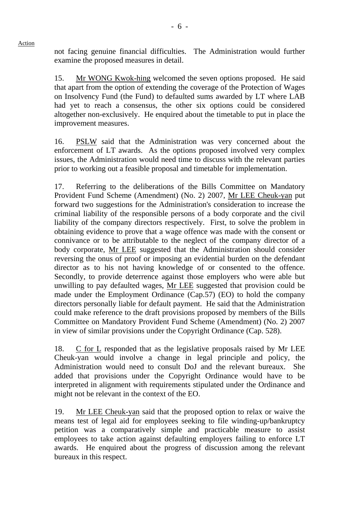not facing genuine financial difficulties. The Administration would further examine the proposed measures in detail.

15. Mr WONG Kwok-hing welcomed the seven options proposed. He said that apart from the option of extending the coverage of the Protection of Wages on Insolvency Fund (the Fund) to defaulted sums awarded by LT where LAB had yet to reach a consensus, the other six options could be considered altogether non-exclusively. He enquired about the timetable to put in place the improvement measures.

16. PSLW said that the Administration was very concerned about the enforcement of LT awards. As the options proposed involved very complex issues, the Administration would need time to discuss with the relevant parties prior to working out a feasible proposal and timetable for implementation.

17. Referring to the deliberations of the Bills Committee on Mandatory Provident Fund Scheme (Amendment) (No. 2) 2007, Mr LEE Cheuk-yan put forward two suggestions for the Administration's consideration to increase the criminal liability of the responsible persons of a body corporate and the civil liability of the company directors respectively. First, to solve the problem in obtaining evidence to prove that a wage offence was made with the consent or connivance or to be attributable to the neglect of the company director of a body corporate, Mr LEE suggested that the Administration should consider reversing the onus of proof or imposing an evidential burden on the defendant director as to his not having knowledge of or consented to the offence. Secondly, to provide deterrence against those employers who were able but unwilling to pay defaulted wages, Mr LEE suggested that provision could be made under the Employment Ordinance (Cap.57) (EO) to hold the company directors personally liable for default payment. He said that the Administration could make reference to the draft provisions proposed by members of the Bills Committee on Mandatory Provident Fund Scheme (Amendment) (No. 2) 2007 in view of similar provisions under the Copyright Ordinance (Cap. 528).

18. C for L responded that as the legislative proposals raised by Mr LEE Cheuk-yan would involve a change in legal principle and policy, the Administration would need to consult DoJ and the relevant bureaux. She added that provisions under the Copyright Ordinance would have to be interpreted in alignment with requirements stipulated under the Ordinance and might not be relevant in the context of the EO.

19. Mr LEE Cheuk-yan said that the proposed option to relax or waive the means test of legal aid for employees seeking to file winding-up/bankruptcy petition was a comparatively simple and practicable measure to assist employees to take action against defaulting employers failing to enforce LT awards. He enquired about the progress of discussion among the relevant bureaux in this respect.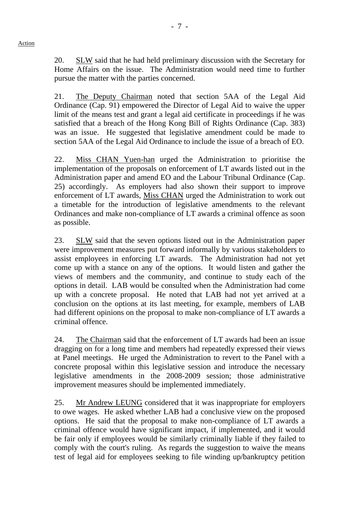20. SLW said that he had held preliminary discussion with the Secretary for Home Affairs on the issue. The Administration would need time to further pursue the matter with the parties concerned.

21. The Deputy Chairman noted that section 5AA of the Legal Aid Ordinance (Cap. 91) empowered the Director of Legal Aid to waive the upper limit of the means test and grant a legal aid certificate in proceedings if he was satisfied that a breach of the Hong Kong Bill of Rights Ordinance (Cap. 383) was an issue. He suggested that legislative amendment could be made to section 5AA of the Legal Aid Ordinance to include the issue of a breach of EO.

22. Miss CHAN Yuen-han urged the Administration to prioritise the implementation of the proposals on enforcement of LT awards listed out in the Administration paper and amend EO and the Labour Tribunal Ordinance (Cap. 25) accordingly. As employers had also shown their support to improve enforcement of LT awards, Miss CHAN urged the Administration to work out a timetable for the introduction of legislative amendments to the relevant Ordinances and make non-compliance of LT awards a criminal offence as soon as possible.

23. SLW said that the seven options listed out in the Administration paper were improvement measures put forward informally by various stakeholders to assist employees in enforcing LT awards. The Administration had not yet come up with a stance on any of the options. It would listen and gather the views of members and the community, and continue to study each of the options in detail. LAB would be consulted when the Administration had come up with a concrete proposal. He noted that LAB had not yet arrived at a conclusion on the options at its last meeting, for example, members of LAB had different opinions on the proposal to make non-compliance of LT awards a criminal offence.

24. The Chairman said that the enforcement of LT awards had been an issue dragging on for a long time and members had repeatedly expressed their views at Panel meetings. He urged the Administration to revert to the Panel with a concrete proposal within this legislative session and introduce the necessary legislative amendments in the 2008-2009 session; those administrative improvement measures should be implemented immediately.

25. Mr Andrew LEUNG considered that it was inappropriate for employers to owe wages. He asked whether LAB had a conclusive view on the proposed options. He said that the proposal to make non-compliance of LT awards a criminal offence would have significant impact, if implemented, and it would be fair only if employees would be similarly criminally liable if they failed to comply with the court's ruling. As regards the suggestion to waive the means test of legal aid for employees seeking to file winding up/bankruptcy petition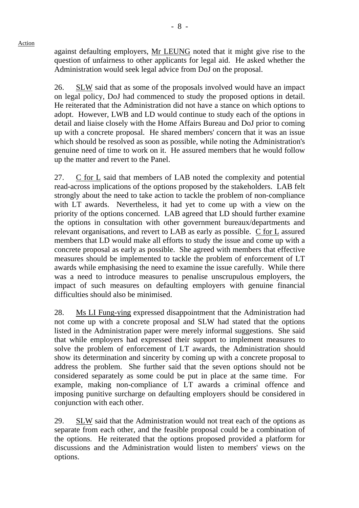against defaulting employers, Mr LEUNG noted that it might give rise to the question of unfairness to other applicants for legal aid. He asked whether the Administration would seek legal advice from DoJ on the proposal.

26. SLW said that as some of the proposals involved would have an impact on legal policy, DoJ had commenced to study the proposed options in detail. He reiterated that the Administration did not have a stance on which options to adopt. However, LWB and LD would continue to study each of the options in detail and liaise closely with the Home Affairs Bureau and DoJ prior to coming up with a concrete proposal. He shared members' concern that it was an issue which should be resolved as soon as possible, while noting the Administration's genuine need of time to work on it. He assured members that he would follow up the matter and revert to the Panel.

27. C for L said that members of LAB noted the complexity and potential read-across implications of the options proposed by the stakeholders. LAB felt strongly about the need to take action to tackle the problem of non-compliance with LT awards. Nevertheless, it had yet to come up with a view on the priority of the options concerned. LAB agreed that LD should further examine the options in consultation with other government bureaux/departments and relevant organisations, and revert to LAB as early as possible. C for L assured members that LD would make all efforts to study the issue and come up with a concrete proposal as early as possible. She agreed with members that effective measures should be implemented to tackle the problem of enforcement of LT awards while emphasising the need to examine the issue carefully. While there was a need to introduce measures to penalise unscrupulous employers, the impact of such measures on defaulting employers with genuine financial difficulties should also be minimised.

28. Ms LI Fung-ying expressed disappointment that the Administration had not come up with a concrete proposal and SLW had stated that the options listed in the Administration paper were merely informal suggestions. She said that while employers had expressed their support to implement measures to solve the problem of enforcement of LT awards, the Administration should show its determination and sincerity by coming up with a concrete proposal to address the problem. She further said that the seven options should not be considered separately as some could be put in place at the same time. For example, making non-compliance of LT awards a criminal offence and imposing punitive surcharge on defaulting employers should be considered in conjunction with each other.

29. SLW said that the Administration would not treat each of the options as separate from each other, and the feasible proposal could be a combination of the options. He reiterated that the options proposed provided a platform for discussions and the Administration would listen to members' views on the options.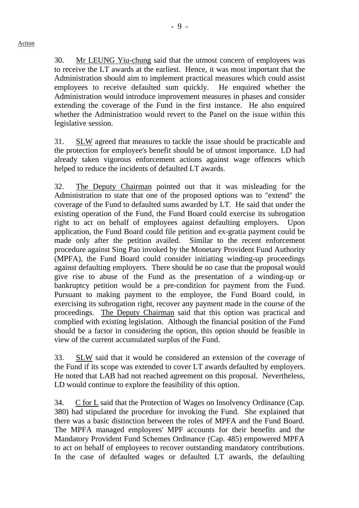30. Mr LEUNG Yiu-chung said that the utmost concern of employees was to receive the LT awards at the earliest. Hence, it was most important that the Administration should aim to implement practical measures which could assist employees to receive defaulted sum quickly. He enquired whether the Administration would introduce improvement measures in phases and consider extending the coverage of the Fund in the first instance. He also enquired whether the Administration would revert to the Panel on the issue within this legislative session.

31. SLW agreed that measures to tackle the issue should be practicable and the protection for employee's benefit should be of utmost importance. LD had already taken vigorous enforcement actions against wage offences which helped to reduce the incidents of defaulted LT awards.

32. The Deputy Chairman pointed out that it was misleading for the Administration to state that one of the proposed options was to "extend" the coverage of the Fund to defaulted sums awarded by LT. He said that under the existing operation of the Fund, the Fund Board could exercise its subrogation right to act on behalf of employees against defaulting employers. Upon application, the Fund Board could file petition and ex-gratia payment could be made only after the petition availed. Similar to the recent enforcement procedure against Sing Pao invoked by the Monetary Provident Fund Authority (MPFA), the Fund Board could consider initiating winding-up proceedings against defaulting employers. There should be no case that the proposal would give rise to abuse of the Fund as the presentation of a winding-up or bankruptcy petition would be a pre-condition for payment from the Fund. Pursuant to making payment to the employee, the Fund Board could, in exercising its subrogation right, recover any payment made in the course of the proceedings. The Deputy Chairman said that this option was practical and complied with existing legislation. Although the financial position of the Fund should be a factor in considering the option, this option should be feasible in view of the current accumulated surplus of the Fund.

33. SLW said that it would be considered an extension of the coverage of the Fund if its scope was extended to cover LT awards defaulted by employers. He noted that LAB had not reached agreement on this proposal. Nevertheless, LD would continue to explore the feasibility of this option.

34. C for L said that the Protection of Wages on Insolvency Ordinance (Cap. 380) had stipulated the procedure for invoking the Fund. She explained that there was a basic distinction between the roles of MPFA and the Fund Board. The MPFA managed employees' MPF accounts for their benefits and the Mandatory Provident Fund Schemes Ordinance (Cap. 485) empowered MPFA to act on behalf of employees to recover outstanding mandatory contributions. In the case of defaulted wages or defaulted LT awards, the defaulting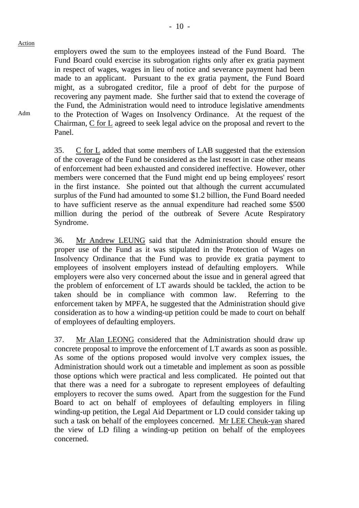employers owed the sum to the employees instead of the Fund Board. The Fund Board could exercise its subrogation rights only after ex gratia payment in respect of wages, wages in lieu of notice and severance payment had been made to an applicant. Pursuant to the ex gratia payment, the Fund Board might, as a subrogated creditor, file a proof of debt for the purpose of recovering any payment made. She further said that to extend the coverage of the Fund, the Administration would need to introduce legislative amendments to the Protection of Wages on Insolvency Ordinance. At the request of the Chairman, C for L agreed to seek legal advice on the proposal and revert to the Panel.

35. C for L added that some members of LAB suggested that the extension of the coverage of the Fund be considered as the last resort in case other means of enforcement had been exhausted and considered ineffective. However, other members were concerned that the Fund might end up being employees' resort in the first instance. She pointed out that although the current accumulated surplus of the Fund had amounted to some \$1.2 billion, the Fund Board needed to have sufficient reserve as the annual expenditure had reached some \$500 million during the period of the outbreak of Severe Acute Respiratory Syndrome.

36. Mr Andrew LEUNG said that the Administration should ensure the proper use of the Fund as it was stipulated in the Protection of Wages on Insolvency Ordinance that the Fund was to provide ex gratia payment to employees of insolvent employers instead of defaulting employers. While employers were also very concerned about the issue and in general agreed that the problem of enforcement of LT awards should be tackled, the action to be taken should be in compliance with common law. Referring to the enforcement taken by MPFA, he suggested that the Administration should give consideration as to how a winding-up petition could be made to court on behalf of employees of defaulting employers.

37. Mr Alan LEONG considered that the Administration should draw up concrete proposal to improve the enforcement of LT awards as soon as possible. As some of the options proposed would involve very complex issues, the Administration should work out a timetable and implement as soon as possible those options which were practical and less complicated. He pointed out that that there was a need for a subrogate to represent employees of defaulting employers to recover the sums owed. Apart from the suggestion for the Fund Board to act on behalf of employees of defaulting employers in filing winding-up petition, the Legal Aid Department or LD could consider taking up such a task on behalf of the employees concerned. Mr LEE Cheuk-yan shared the view of LD filing a winding-up petition on behalf of the employees concerned.

Adm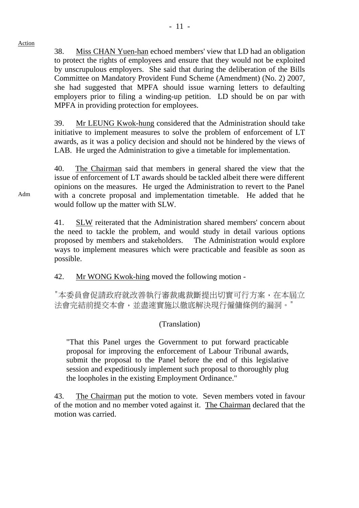38. Miss CHAN Yuen-han echoed members' view that LD had an obligation to protect the rights of employees and ensure that they would not be exploited by unscrupulous employers. She said that during the deliberation of the Bills Committee on Mandatory Provident Fund Scheme (Amendment) (No. 2) 2007, she had suggested that MPFA should issue warning letters to defaulting employers prior to filing a winding-up petition. LD should be on par with MPFA in providing protection for employees.

39. Mr LEUNG Kwok-hung considered that the Administration should take initiative to implement measures to solve the problem of enforcement of LT awards, as it was a policy decision and should not be hindered by the views of LAB. He urged the Administration to give a timetable for implementation.

40. The Chairman said that members in general shared the view that the issue of enforcement of LT awards should be tackled albeit there were different opinions on the measures. He urged the Administration to revert to the Panel with a concrete proposal and implementation timetable. He added that he would follow up the matter with SLW.

41. SLW reiterated that the Administration shared members' concern about the need to tackle the problem, and would study in detail various options proposed by members and stakeholders. The Administration would explore ways to implement measures which were practicable and feasible as soon as possible.

42. Mr WONG Kwok-hing moved the following motion -

"本委員會促請政府就改善執行審裁處裁斷提出切實可行方案,在本屆立 法會完結前提交本會,並盡速實施以徹底解決現行僱傭條例的漏洞。"

# (Translation)

"That this Panel urges the Government to put forward practicable proposal for improving the enforcement of Labour Tribunal awards, submit the proposal to the Panel before the end of this legislative session and expeditiously implement such proposal to thoroughly plug the loopholes in the existing Employment Ordinance."

43. The Chairman put the motion to vote. Seven members voted in favour of the motion and no member voted against it. The Chairman declared that the motion was carried.

Adm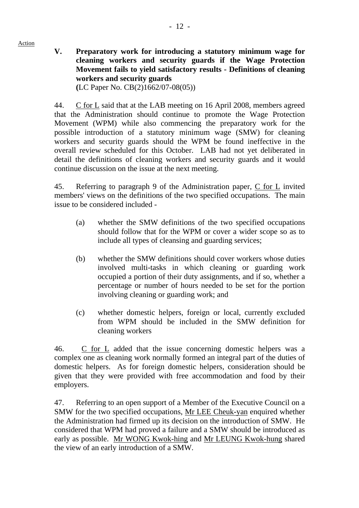**V. Preparatory work for introducing a statutory minimum wage for cleaning workers and security guards if the Wage Protection Movement fails to yield satisfactory results - Definitions of cleaning workers and security guards (**LC Paper No. CB(2)1662/07-08(05))

44. C for L said that at the LAB meeting on 16 April 2008, members agreed that the Administration should continue to promote the Wage Protection Movement (WPM) while also commencing the preparatory work for the possible introduction of a statutory minimum wage (SMW) for cleaning workers and security guards should the WPM be found ineffective in the overall review scheduled for this October. LAB had not yet deliberated in detail the definitions of cleaning workers and security guards and it would continue discussion on the issue at the next meeting.

45. Referring to paragraph 9 of the Administration paper, C for L invited members' views on the definitions of the two specified occupations. The main issue to be considered included -

- (a) whether the SMW definitions of the two specified occupations should follow that for the WPM or cover a wider scope so as to include all types of cleansing and guarding services;
- (b) whether the SMW definitions should cover workers whose duties involved multi-tasks in which cleaning or guarding work occupied a portion of their duty assignments, and if so, whether a percentage or number of hours needed to be set for the portion involving cleaning or guarding work; and
- (c) whether domestic helpers, foreign or local, currently excluded from WPM should be included in the SMW definition for cleaning workers

46. C for L added that the issue concerning domestic helpers was a complex one as cleaning work normally formed an integral part of the duties of domestic helpers. As for foreign domestic helpers, consideration should be given that they were provided with free accommodation and food by their employers.

47. Referring to an open support of a Member of the Executive Council on a SMW for the two specified occupations, Mr LEE Cheuk-yan enquired whether the Administration had firmed up its decision on the introduction of SMW. He considered that WPM had proved a failure and a SMW should be introduced as early as possible. Mr WONG Kwok-hing and Mr LEUNG Kwok-hung shared the view of an early introduction of a SMW.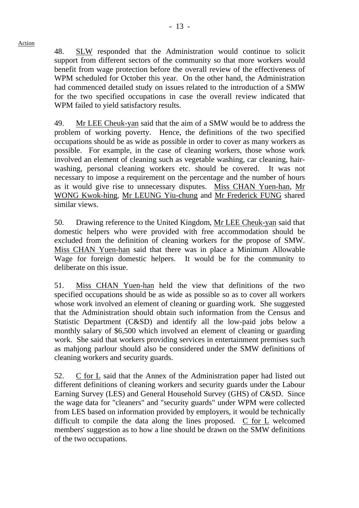48. SLW responded that the Administration would continue to solicit support from different sectors of the community so that more workers would benefit from wage protection before the overall review of the effectiveness of WPM scheduled for October this year. On the other hand, the Administration had commenced detailed study on issues related to the introduction of a SMW for the two specified occupations in case the overall review indicated that WPM failed to yield satisfactory results.

49. Mr LEE Cheuk-yan said that the aim of a SMW would be to address the problem of working poverty. Hence, the definitions of the two specified occupations should be as wide as possible in order to cover as many workers as possible. For example, in the case of cleaning workers, those whose work involved an element of cleaning such as vegetable washing, car cleaning, hairwashing, personal cleaning workers etc. should be covered. It was not necessary to impose a requirement on the percentage and the number of hours as it would give rise to unnecessary disputes. Miss CHAN Yuen-han, Mr WONG Kwok-hing, Mr LEUNG Yiu-chung and Mr Frederick FUNG shared similar views.

50. Drawing reference to the United Kingdom, Mr LEE Cheuk-yan said that domestic helpers who were provided with free accommodation should be excluded from the definition of cleaning workers for the propose of SMW. Miss CHAN Yuen-han said that there was in place a Minimum Allowable Wage for foreign domestic helpers. It would be for the community to deliberate on this issue.

51. Miss CHAN Yuen-han held the view that definitions of the two specified occupations should be as wide as possible so as to cover all workers whose work involved an element of cleaning or guarding work. She suggested that the Administration should obtain such information from the Census and Statistic Department (C&SD) and identify all the low-paid jobs below a monthly salary of \$6,500 which involved an element of cleaning or guarding work. She said that workers providing services in entertainment premises such as mahjong parlour should also be considered under the SMW definitions of cleaning workers and security guards.

52. C for L said that the Annex of the Administration paper had listed out different definitions of cleaning workers and security guards under the Labour Earning Survey (LES) and General Household Survey (GHS) of C&SD. Since the wage data for "cleaners" and "security guards" under WPM were collected from LES based on information provided by employers, it would be technically difficult to compile the data along the lines proposed. C for L welcomed members' suggestion as to how a line should be drawn on the SMW definitions of the two occupations.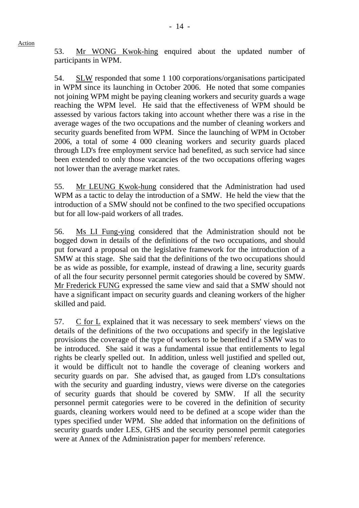53. Mr WONG Kwok-hing enquired about the updated number of participants in WPM.

54. SLW responded that some 1 100 corporations/organisations participated in WPM since its launching in October 2006. He noted that some companies not joining WPM might be paying cleaning workers and security guards a wage reaching the WPM level. He said that the effectiveness of WPM should be assessed by various factors taking into account whether there was a rise in the average wages of the two occupations and the number of cleaning workers and security guards benefited from WPM. Since the launching of WPM in October 2006, a total of some 4 000 cleaning workers and security guards placed through LD's free employment service had benefited, as such service had since been extended to only those vacancies of the two occupations offering wages not lower than the average market rates.

55. Mr LEUNG Kwok-hung considered that the Administration had used WPM as a tactic to delay the introduction of a SMW. He held the view that the introduction of a SMW should not be confined to the two specified occupations but for all low-paid workers of all trades.

56. Ms LI Fung-ying considered that the Administration should not be bogged down in details of the definitions of the two occupations, and should put forward a proposal on the legislative framework for the introduction of a SMW at this stage. She said that the definitions of the two occupations should be as wide as possible, for example, instead of drawing a line, security guards of all the four security personnel permit categories should be covered by SMW. Mr Frederick FUNG expressed the same view and said that a SMW should not have a significant impact on security guards and cleaning workers of the higher skilled and paid.

57. C for L explained that it was necessary to seek members' views on the details of the definitions of the two occupations and specify in the legislative provisions the coverage of the type of workers to be benefited if a SMW was to be introduced. She said it was a fundamental issue that entitlements to legal rights be clearly spelled out. In addition, unless well justified and spelled out, it would be difficult not to handle the coverage of cleaning workers and security guards on par. She advised that, as gauged from LD's consultations with the security and guarding industry, views were diverse on the categories of security guards that should be covered by SMW. If all the security personnel permit categories were to be covered in the definition of security guards, cleaning workers would need to be defined at a scope wider than the types specified under WPM. She added that information on the definitions of security guards under LES, GHS and the security personnel permit categories were at Annex of the Administration paper for members' reference.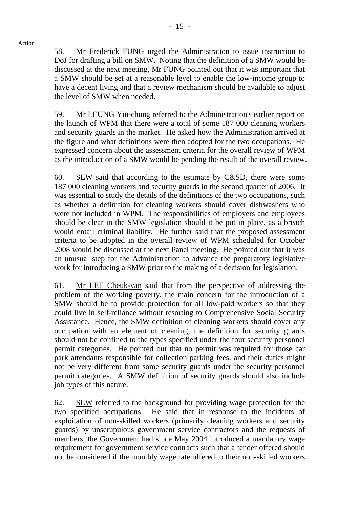58. Mr Frederick FUNG urged the Administration to issue instruction to DoJ for drafting a bill on SMW. Noting that the definition of a SMW would be discussed at the next meeting, Mr FUNG pointed out that it was important that a SMW should be set at a reasonable level to enable the low-income group to have a decent living and that a review mechanism should be available to adjust the level of SMW when needed.

59. Mr LEUNG Yiu-chung referred to the Administration's earlier report on the launch of WPM that there were a total of some 187 000 cleaning workers and security guards in the market. He asked how the Administration arrived at the figure and what definitions were then adopted for the two occupations. He expressed concern about the assessment criteria for the overall review of WPM as the introduction of a SMW would be pending the result of the overall review.

60. SLW said that according to the estimate by C&SD, there were some 187 000 cleaning workers and security guards in the second quarter of 2006. It was essential to study the details of the definitions of the two occupations, such as whether a definition for cleaning workers should cover dishwashers who were not included in WPM. The responsibilities of employers and employees should be clear in the SMW legislation should it be put in place, as a breach would entail criminal liability. He further said that the proposed assessment criteria to be adopted in the overall review of WPM scheduled for October 2008 would be discussed at the next Panel meeting. He pointed out that it was an unusual step for the Administration to advance the preparatory legislative work for introducing a SMW prior to the making of a decision for legislation.

61. Mr LEE Cheuk-yan said that from the perspective of addressing the problem of the working poverty, the main concern for the introduction of a SMW should be to provide protection for all low-paid workers so that they could live in self-reliance without resorting to Comprehensive Social Security Assistance. Hence, the SMW definition of cleaning workers should cover any occupation with an element of cleaning; the definition for security guards should not be confined to the types specified under the four security personnel permit categories. He pointed out that no permit was required for those car park attendants responsible for collection parking fees, and their duties might not be very different from some security guards under the security personnel permit categories. A SMW definition of security guards should also include job types of this nature.

62. SLW referred to the background for providing wage protection for the two specified occupations. He said that in response to the incidents of exploitation of non-skilled workers (primarily cleaning workers and security guards) by unscrupulous government service contractors and the requests of members, the Government had since May 2004 introduced a mandatory wage requirement for government service contracts such that a tender offered should not be considered if the monthly wage rate offered to their non-skilled workers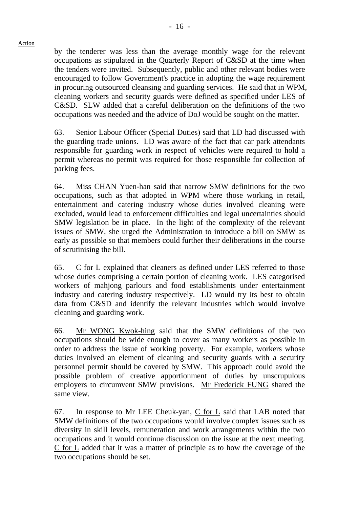by the tenderer was less than the average monthly wage for the relevant occupations as stipulated in the Quarterly Report of C&SD at the time when the tenders were invited. Subsequently, public and other relevant bodies were encouraged to follow Government's practice in adopting the wage requirement in procuring outsourced cleansing and guarding services. He said that in WPM, cleaning workers and security guards were defined as specified under LES of C&SD. SLW added that a careful deliberation on the definitions of the two occupations was needed and the advice of DoJ would be sought on the matter.

63. Senior Labour Officer (Special Duties) said that LD had discussed with the guarding trade unions. LD was aware of the fact that car park attendants responsible for guarding work in respect of vehicles were required to hold a permit whereas no permit was required for those responsible for collection of parking fees.

64. Miss CHAN Yuen-han said that narrow SMW definitions for the two occupations, such as that adopted in WPM where those working in retail, entertainment and catering industry whose duties involved cleaning were excluded, would lead to enforcement difficulties and legal uncertainties should SMW legislation be in place. In the light of the complexity of the relevant issues of SMW, she urged the Administration to introduce a bill on SMW as early as possible so that members could further their deliberations in the course of scrutinising the bill.

65. C for L explained that cleaners as defined under LES referred to those whose duties comprising a certain portion of cleaning work. LES categorised workers of mahjong parlours and food establishments under entertainment industry and catering industry respectively. LD would try its best to obtain data from C&SD and identify the relevant industries which would involve cleaning and guarding work.

66. Mr WONG Kwok-hing said that the SMW definitions of the two occupations should be wide enough to cover as many workers as possible in order to address the issue of working poverty. For example, workers whose duties involved an element of cleaning and security guards with a security personnel permit should be covered by SMW. This approach could avoid the possible problem of creative apportionment of duties by unscrupulous employers to circumvent SMW provisions. Mr Frederick FUNG shared the same view.

67. In response to Mr LEE Cheuk-yan, C for L said that LAB noted that SMW definitions of the two occupations would involve complex issues such as diversity in skill levels, remuneration and work arrangements within the two occupations and it would continue discussion on the issue at the next meeting. C for L added that it was a matter of principle as to how the coverage of the two occupations should be set.